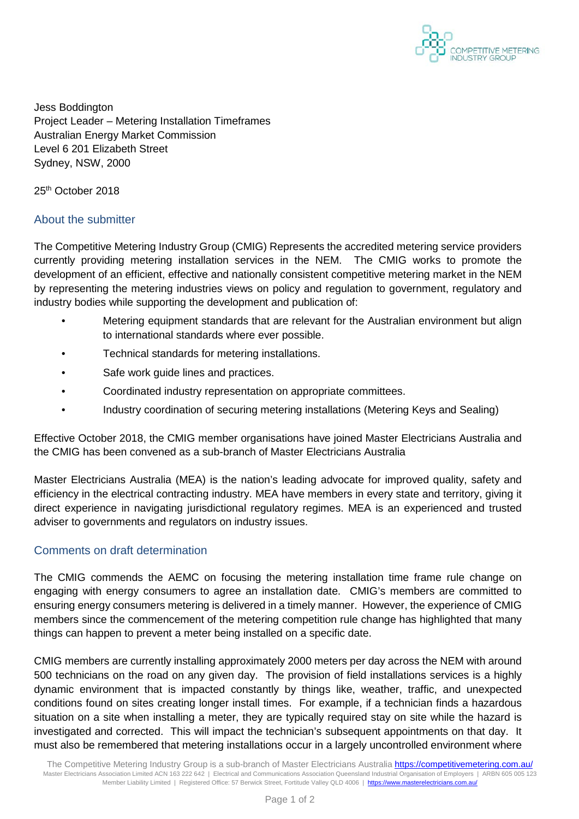

Jess Boddington Project Leader – Metering Installation Timeframes Australian Energy Market Commission Level 6 201 Elizabeth Street Sydney, NSW, 2000

25<sup>th</sup> October 2018

## About the submitter

The Competitive Metering Industry Group (CMIG) Represents the accredited metering service providers currently providing metering installation services in the NEM. The CMIG works to promote the development of an efficient, effective and nationally consistent competitive metering market in the NEM by representing the metering industries views on policy and regulation to government, regulatory and industry bodies while supporting the development and publication of:

- Metering equipment standards that are relevant for the Australian environment but align to international standards where ever possible.
- Technical standards for metering installations.
- Safe work guide lines and practices.
- Coordinated industry representation on appropriate committees.
- Industry coordination of securing metering installations (Metering Keys and Sealing)

Effective October 2018, the CMIG member organisations have joined Master Electricians Australia and the CMIG has been convened as a sub-branch of Master Electricians Australia

Master Electricians Australia (MEA) is the nation's leading advocate for improved quality, safety and efficiency in the electrical contracting industry. MEA have members in every state and territory, giving it direct experience in navigating jurisdictional regulatory regimes. MEA is an experienced and trusted adviser to governments and regulators on industry issues.

## Comments on draft determination

The CMIG commends the AEMC on focusing the metering installation time frame rule change on engaging with energy consumers to agree an installation date. CMIG's members are committed to ensuring energy consumers metering is delivered in a timely manner. However, the experience of CMIG members since the commencement of the metering competition rule change has highlighted that many things can happen to prevent a meter being installed on a specific date.

CMIG members are currently installing approximately 2000 meters per day across the NEM with around 500 technicians on the road on any given day. The provision of field installations services is a highly dynamic environment that is impacted constantly by things like, weather, traffic, and unexpected conditions found on sites creating longer install times. For example, if a technician finds a hazardous situation on a site when installing a meter, they are typically required stay on site while the hazard is investigated and corrected. This will impact the technician's subsequent appointments on that day. It must also be remembered that metering installations occur in a largely uncontrolled environment where